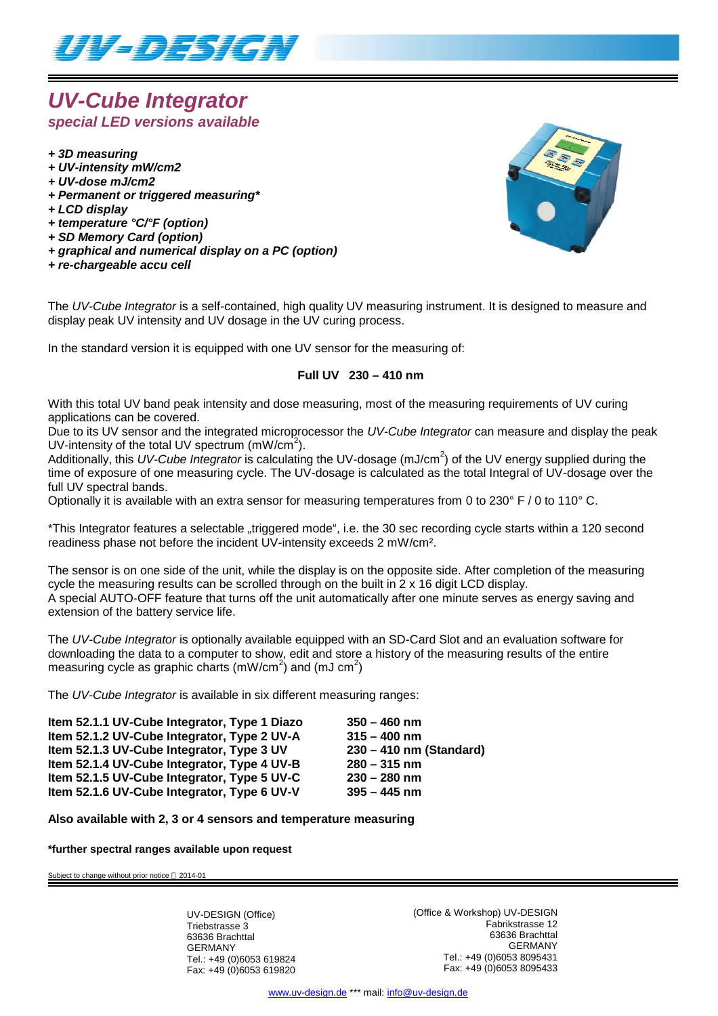

# *UV-Cube Integrator special LED versions available*

- *+ 3D measuring*
- *+ UV-intensity mW/cm2*
- *+ UV-dose mJ/cm2*
- *+ Permanent or triggered measuring\**
- *+ LCD display*
- *+ temperature °C/°F (option)*
- *+ SD Memory Card (option)*
- *+ graphical and numerical display on a PC (option)*
- *+ re-chargeable accu cell*



The *UV-Cube Integrator* is a self-contained, high quality UV measuring instrument. It is designed to measure and display peak UV intensity and UV dosage in the UV curing process.

In the standard version it is equipped with one UV sensor for the measuring of:

#### **Full UV 230 – 410 nm**

With this total UV band peak intensity and dose measuring, most of the measuring requirements of UV curing applications can be covered.

Due to its UV sensor and the integrated microprocessor the *UV-Cube Integrator* can measure and display the peak UV-intensity of the total UV spectrum  $(mW/cm<sup>2</sup>)$ .

Additionally, this UV-Cube Integrator is calculating the UV-dosage (mJ/cm<sup>2</sup>) of the UV energy supplied during the time of exposure of one measuring cycle. The UV-dosage is calculated as the total Integral of UV-dosage over the full UV spectral bands.

Optionally it is available with an extra sensor for measuring temperatures from 0 to 230° F / 0 to 110° C.

\*This Integrator features a selectable "triggered mode", i.e. the 30 sec recording cycle starts within a 120 second readiness phase not before the incident UV-intensity exceeds 2 mW/cm².

The sensor is on one side of the unit, while the display is on the opposite side. After completion of the measuring cycle the measuring results can be scrolled through on the built in 2 x 16 digit LCD display. A special AUTO-OFF feature that turns off the unit automatically after one minute serves as energy saving and extension of the battery service life.

The *UV-Cube Integrator* is optionally available equipped with an SD-Card Slot and an evaluation software for downloading the data to a computer to show, edit and store a history of the measuring results of the entire measuring cycle as graphic charts (mW/cm<sup>2</sup>) and (mJ cm<sup>2</sup>)

The *UV-Cube Integrator* is available in six different measuring ranges:

| Item 52.1.1 UV-Cube Integrator, Type 1 Diazo | $350 - 460$ nm          |
|----------------------------------------------|-------------------------|
| Item 52.1.2 UV-Cube Integrator, Type 2 UV-A  | $315 - 400$ nm          |
| Item 52.1.3 UV-Cube Integrator, Type 3 UV    | 230 - 410 nm (Standard) |
| Item 52.1.4 UV-Cube Integrator, Type 4 UV-B  | $280 - 315$ nm          |
| Item 52.1.5 UV-Cube Integrator, Type 5 UV-C  | $230 - 280$ nm          |
| Item 52.1.6 UV-Cube Integrator, Type 6 UV-V  | $395 - 445$ nm          |

**Also available with 2, 3 or 4 sensors and temperature measuring**

**\*further spectral ranges available upon request**

Subject to change without prior notice @ 2014-01

UV-DESIGN (Office) Triebstrasse 3 63636 Brachttal GERMANY Tel.: +49 (0)6053 619824 Fax: +49 (0)6053 619820 (Office & Workshop) UV-DESIGN Fabrikstrasse 12 63636 Brachttal GERMANY Tel.: +49 (0)6053 8095431 Fax: +49 (0)6053 8095433